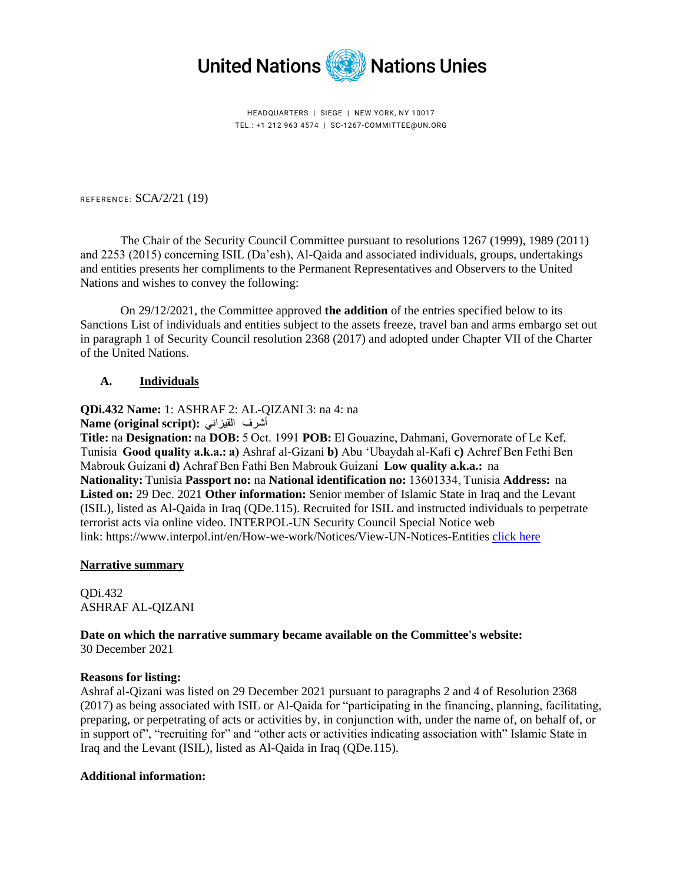

HEADQUARTERS | SIEGE | NEW YORK, NY 10017 TEL.: +1 212 963 4574 | SC-1267-COMMITTEE@UN.ORG

REFERENCE:  $SCA/2/21$  (19)

The Chair of the Security Council Committee pursuant to resolutions 1267 (1999), 1989 (2011) and 2253 (2015) concerning ISIL (Da'esh), Al-Qaida and associated individuals, groups, undertakings and entities presents her compliments to the Permanent Representatives and Observers to the United Nations and wishes to convey the following:

On 29/12/2021, the Committee approved **the addition** of the entries specified below to its Sanctions List of individuals and entities subject to the assets freeze, travel ban and arms embargo set out in paragraph 1 of Security Council resolution 2368 (2017) and adopted under Chapter VII of the Charter of the United Nations.

## **A. Individuals**

# **QDi.432 Name:** 1: ASHRAF 2: AL-QIZANI 3: na 4: na

**Name (original script):**  القيزاني   أشرف

**Title:** na **Designation:** na **DOB:** 5 Oct. 1991 **POB:** El Gouazine, Dahmani, Governorate of Le Kef, Tunisia  **Good quality a.k.a.: a)** Ashraf al-Gizani **b)** Abu 'Ubaydah al-Kafi **c)** Achref Ben Fethi Ben Mabrouk Guizani **d)** Achraf Ben Fathi Ben Mabrouk Guizani  **Low quality a.k.a.:**  na **Nationality:** Tunisia **Passport no:** na **National identification no:** 13601334, Tunisia **Address:**  na **Listed on:** 29 Dec. 2021 **Other information:** Senior member of Islamic State in Iraq and the Levant (ISIL), listed as Al-Qaida in Iraq (QDe.115). Recruited for ISIL and instructed individuals to perpetrate terrorist acts via online video. INTERPOL-UN Security Council Special Notice web link: https://www.interpol.int/en/How-we-work/Notices/View-UN-Notices-Entities [click here](https://www.interpol.int/en/How-we-work/Notices/View-UN-Notices-Entities)

## **Narrative summary**

QDi.432 ASHRAF AL-QIZANI

**Date on which the narrative summary became available on the Committee's website:** 30 December 2021

## **Reasons for listing:**

Ashraf al-Qizani was listed on 29 December 2021 pursuant to paragraphs 2 and 4 of Resolution 2368 (2017) as being associated with ISIL or Al-Qaida for "participating in the financing, planning, facilitating, preparing, or perpetrating of acts or activities by, in conjunction with, under the name of, on behalf of, or in support of", "recruiting for" and "other acts or activities indicating association with" Islamic State in Iraq and the Levant (ISIL), listed as Al-Qaida in Iraq (QDe.115).

## **Additional information:**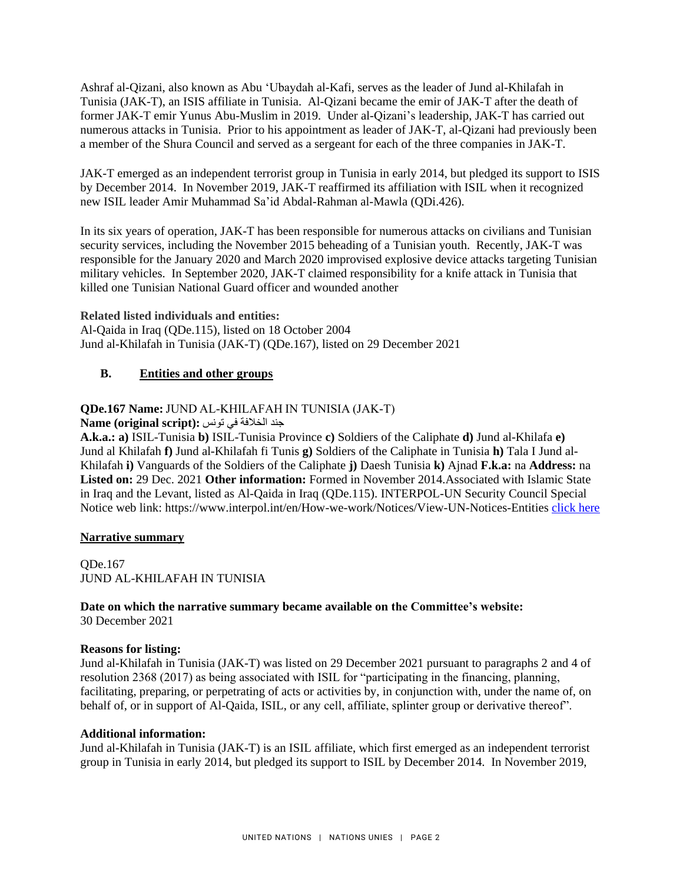Ashraf al-Qizani, also known as Abu 'Ubaydah al-Kafi, serves as the leader of Jund al-Khilafah in Tunisia (JAK-T), an ISIS affiliate in Tunisia. Al-Qizani became the emir of JAK-T after the death of former JAK-T emir Yunus Abu-Muslim in 2019. Under al-Qizani's leadership, JAK-T has carried out numerous attacks in Tunisia. Prior to his appointment as leader of JAK-T, al-Qizani had previously been a member of the Shura Council and served as a sergeant for each of the three companies in JAK-T.

JAK-T emerged as an independent terrorist group in Tunisia in early 2014, but pledged its support to ISIS by December 2014. In November 2019, JAK-T reaffirmed its affiliation with ISIL when it recognized new ISIL leader Amir Muhammad Sa'id Abdal-Rahman al-Mawla (QDi.426).

In its six years of operation, JAK-T has been responsible for numerous attacks on civilians and Tunisian security services, including the November 2015 beheading of a Tunisian youth. Recently, JAK-T was responsible for the January 2020 and March 2020 improvised explosive device attacks targeting Tunisian military vehicles. In September 2020, JAK-T claimed responsibility for a knife attack in Tunisia that killed one Tunisian National Guard officer and wounded another

**Related listed individuals and entities:**  Al-Qaida in Iraq (QDe.115), listed on 18 October 2004 Jund al-Khilafah in Tunisia (JAK-T) (QDe.167), listed on 29 December 2021

# **B. Entities and other groups**

## **QDe.167 Name:** JUND AL-KHILAFAH IN TUNISIA (JAK-T)

 جند الخالفة في تونس **:(script original (Name**

**A.k.a.: a)** ISIL-Tunisia **b)** ISIL-Tunisia Province **c)** Soldiers of the Caliphate **d)** Jund al-Khilafa **e)** Jund al Khilafah **f)** Jund al-Khilafah fi Tunis **g)** Soldiers of the Caliphate in Tunisia **h)** Tala I Jund al-Khilafah **i)** Vanguards of the Soldiers of the Caliphate **j)** Daesh Tunisia **k)** Ajnad **F.k.a:** na **Address:** na **Listed on:** 29 Dec. 2021 **Other information:** Formed in November 2014.Associated with Islamic State in Iraq and the Levant, listed as Al-Qaida in Iraq (QDe.115). INTERPOL-UN Security Council Special Notice web link: https://www.interpol.int/en/How-we-work/Notices/View-UN-Notices-Entities [click here](https://www.interpol.int/en/How-we-work/Notices/View-UN-Notices-Entities)

## **Narrative summary**

QDe.167 JUND AL-KHILAFAH IN TUNISIA

## **Date on which the narrative summary became available on the Committee's website:**  30 December 2021

## **Reasons for listing:**

Jund al-Khilafah in Tunisia (JAK-T) was listed on 29 December 2021 pursuant to paragraphs 2 and 4 of resolution 2368 (2017) as being associated with ISIL for "participating in the financing, planning, facilitating, preparing, or perpetrating of acts or activities by, in conjunction with, under the name of, on behalf of, or in support of Al-Qaida, ISIL, or any cell, affiliate, splinter group or derivative thereof".

## **Additional information:**

Jund al-Khilafah in Tunisia (JAK-T) is an ISIL affiliate, which first emerged as an independent terrorist group in Tunisia in early 2014, but pledged its support to ISIL by December 2014. In November 2019,